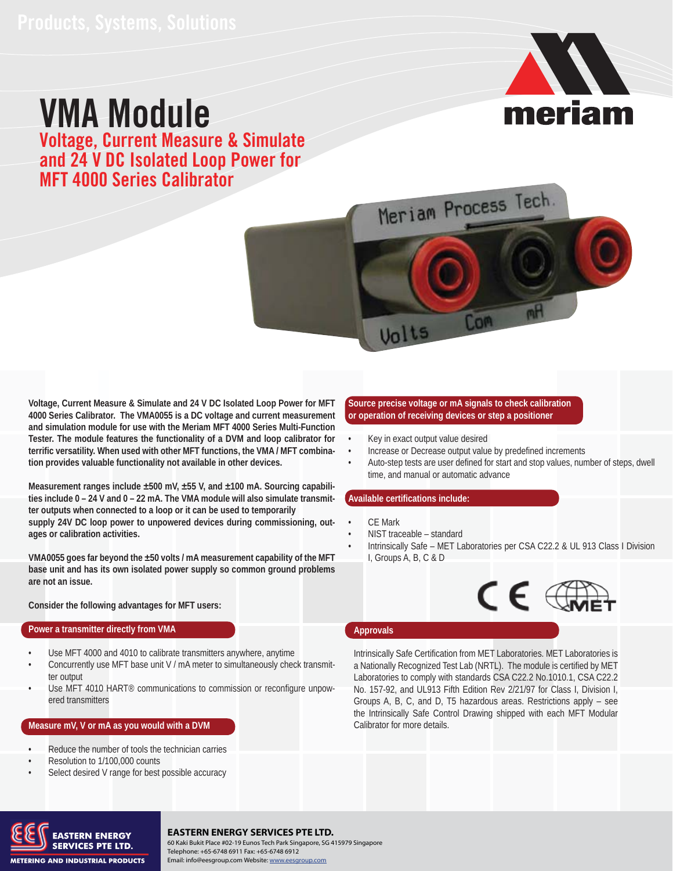# VMA Module Voltage, Current Measure & Simulate and 24 V DC Isolated Loop Power for MFT 4000 Series Calibrator





**Voltage, Current Measure & Simulate and 24 V DC Isolated Loop Power for MFT 4000 Series Calibrator. The VMA0055 is a DC voltage and current measurement and simulation module for use with the Meriam MFT 4000 Series Multi-Function Tester. The module features the functionality of a DVM and loop calibrator for terrific versatility. When used with other MFT functions, the VMA / MFT combination provides valuable functionality not available in other devices.** 

**Measurement ranges include ±500 mV, ±55 V, and ±100 mA. Sourcing capabilities include 0 – 24 V and 0 – 22 mA. The VMA module will also simulate transmitter outputs when connected to a loop or it can be used to temporarily supply 24V DC loop power to unpowered devices during commissioning, outages or calibration activities.** 

**VMA0055 goes far beyond the ±50 volts / mA measurement capability of the MFT base unit and has its own isolated power supply so common ground problems are not an issue.** 

### **Consider the following advantages for MFT users:**

#### **Power a transmitter directly from VMA**

- Use MFT 4000 and 4010 to calibrate transmitters anywhere, anytime •
- Concurrently use MFT base unit V / mA meter to simultaneously check transmitter output •
- Use MFT 4010 HART® communications to commission or reconfigure unpowered transmitters •

#### **Measure mV, V or mA as you would with a DVM**

- Reduce the number of tools the technician carries •
- Resolution to 1/100,000 counts •
- Select desired V range for best possible accuracy •

#### **Source precise voltage or mA signals to check calibration or operation of receiving devices or step a positioner**

- Key in exact output value desired •
- Increase or Decrease output value by predefined increments •
- Auto-step tests are user defined for start and stop values, number of steps, dwell time, and manual or automatic advance •

#### **Available certifications include:**

- CE Mark •
- NIST traceable standard •
- Intrinsically Safe MET Laboratories per CSA C22.2 & UL 913 Class I Division I, Groups A, B, C & D •



#### **Approvals**

Intrinsically Safe Certification from MET Laboratories. MET Laboratories is a Nationally Recognized Test Lab (NRTL). The module is certified by MET Laboratories to comply with standards CSA C22.2 No.1010.1, CSA C22.2 No. 157-92, and UL913 Fifth Edition Rev 2/21/97 for Class I, Division I, Groups A, B, C, and D, T5 hazardous areas. Restrictions apply – see the Intrinsically Safe Control Drawing shipped with each MFT Modular Calibrator for more details.



### **EASTERN ENERGY SERVICES PTE LTD.**

**SERVICES PTE LTD.** 60 Kaki Bukit Place #02-19 Eunos Tech Park Singapore, SG 415979 Singapore<br>Telephone: +65-6748 6911 Fax: +65-6748 6912 60 Kaki Bukit Place #02-19 Eunos Tech Park Singapore, SG 415979 Singapore Email: info@eesgroup.com Website: www.eesgroup.com